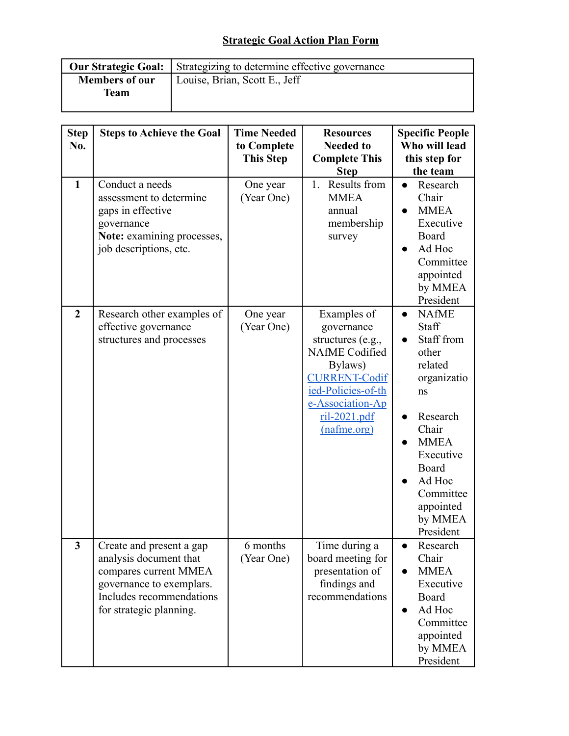## **Strategic Goal Action Plan Form**

|                       | <b>Our Strategic Goal:</b> Strategizing to determine effective governance |  |  |
|-----------------------|---------------------------------------------------------------------------|--|--|
| <b>Members of our</b> | Louise, Brian, Scott E., Jeff                                             |  |  |
| <b>Team</b>           |                                                                           |  |  |
|                       |                                                                           |  |  |

| <b>Step</b><br>No. | <b>Steps to Achieve the Goal</b>                                                                                                                               | <b>Time Needed</b><br>to Complete<br><b>This Step</b> | <b>Resources</b><br><b>Needed to</b><br><b>Complete This</b><br><b>Step</b>                                                                                                           | <b>Specific People</b><br>Who will lead<br>this step for<br>the team                                                                                                                                                         |
|--------------------|----------------------------------------------------------------------------------------------------------------------------------------------------------------|-------------------------------------------------------|---------------------------------------------------------------------------------------------------------------------------------------------------------------------------------------|------------------------------------------------------------------------------------------------------------------------------------------------------------------------------------------------------------------------------|
| $\mathbf{1}$       | Conduct a needs<br>assessment to determine<br>gaps in effective<br>governance<br>Note: examining processes,<br>job descriptions, etc.                          | One year<br>(Year One)                                | Results from<br>$1_{-}$<br><b>MMEA</b><br>annual<br>membership<br>survey                                                                                                              | Research<br>$\bullet$<br>Chair<br><b>MMEA</b><br>Executive<br>Board<br>Ad Hoc<br>$\bullet$<br>Committee<br>appointed<br>by MMEA<br>President                                                                                 |
| $\overline{2}$     | Research other examples of<br>effective governance<br>structures and processes                                                                                 | One year<br>(Year One)                                | Examples of<br>governance<br>structures (e.g.,<br><b>NAfME</b> Codified<br>Bylaws)<br><b>CURRENT-Codif</b><br>ied-Policies-of-th<br>e-Association-Ap<br>$ril-2021.pdf$<br>(nafme.org) | <b>NAfME</b><br>$\bullet$<br>Staff<br>Staff from<br>other<br>related<br>organizatio<br>ns<br>Research<br>$\bullet$<br>Chair<br><b>MMEA</b><br>Executive<br>Board<br>Ad Hoc<br>Committee<br>appointed<br>by MMEA<br>President |
| 3                  | Create and present a gap<br>analysis document that<br>compares current MMEA<br>governance to exemplars.<br>Includes recommendations<br>for strategic planning. | 6 months<br>(Year One)                                | Time during a<br>board meeting for<br>presentation of<br>findings and<br>recommendations                                                                                              | Research<br>$\bullet$<br>Chair<br><b>MMEA</b><br>Executive<br>Board<br>Ad Hoc<br>Committee<br>appointed<br>by MMEA<br>President                                                                                              |